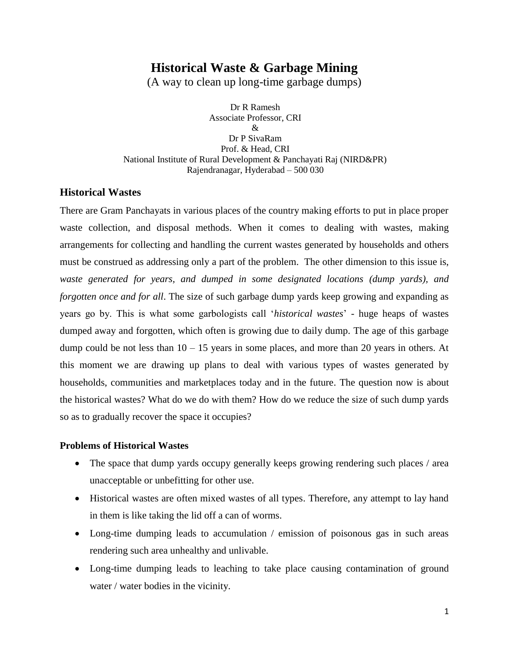# **Historical Waste & Garbage Mining**

(A way to clean up long-time garbage dumps)

Dr R Ramesh Associate Professor, CRI & Dr P SivaRam Prof. & Head, CRI National Institute of Rural Development & Panchayati Raj (NIRD&PR) Rajendranagar, Hyderabad – 500 030

### **Historical Wastes**

There are Gram Panchayats in various places of the country making efforts to put in place proper waste collection, and disposal methods. When it comes to dealing with wastes, making arrangements for collecting and handling the current wastes generated by households and others must be construed as addressing only a part of the problem. The other dimension to this issue is, *waste generated for years, and dumped in some designated locations (dump yards), and forgotten once and for all*. The size of such garbage dump yards keep growing and expanding as years go by. This is what some garbologists call '*historical wastes*' - huge heaps of wastes dumped away and forgotten, which often is growing due to daily dump. The age of this garbage dump could be not less than  $10 - 15$  years in some places, and more than 20 years in others. At this moment we are drawing up plans to deal with various types of wastes generated by households, communities and marketplaces today and in the future. The question now is about the historical wastes? What do we do with them? How do we reduce the size of such dump yards so as to gradually recover the space it occupies?

#### **Problems of Historical Wastes**

- The space that dump yards occupy generally keeps growing rendering such places / area unacceptable or unbefitting for other use.
- Historical wastes are often mixed wastes of all types. Therefore, any attempt to lay hand in them is like taking the lid off a can of worms.
- Long-time dumping leads to accumulation / emission of poisonous gas in such areas rendering such area unhealthy and unlivable.
- Long-time dumping leads to leaching to take place causing contamination of ground water / water bodies in the vicinity.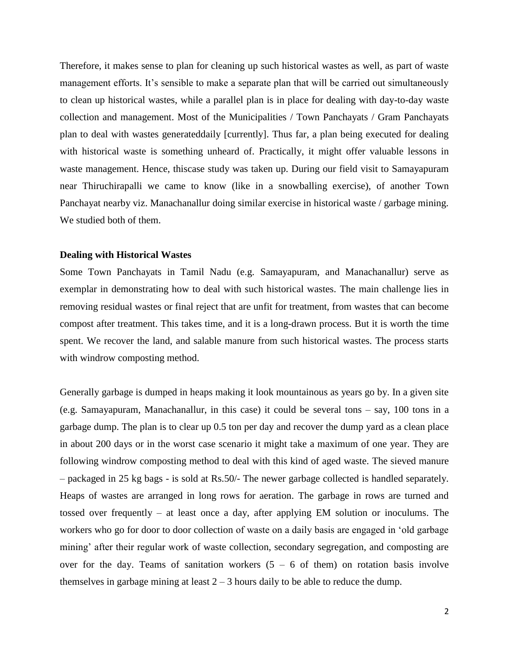Therefore, it makes sense to plan for cleaning up such historical wastes as well, as part of waste management efforts. It's sensible to make a separate plan that will be carried out simultaneously to clean up historical wastes, while a parallel plan is in place for dealing with day-to-day waste collection and management. Most of the Municipalities / Town Panchayats / Gram Panchayats plan to deal with wastes generateddaily [currently]. Thus far, a plan being executed for dealing with historical waste is something unheard of. Practically, it might offer valuable lessons in waste management. Hence, thiscase study was taken up. During our field visit to Samayapuram near Thiruchirapalli we came to know (like in a snowballing exercise), of another Town Panchayat nearby viz. Manachanallur doing similar exercise in historical waste / garbage mining. We studied both of them.

#### **Dealing with Historical Wastes**

Some Town Panchayats in Tamil Nadu (e.g. Samayapuram, and Manachanallur) serve as exemplar in demonstrating how to deal with such historical wastes. The main challenge lies in removing residual wastes or final reject that are unfit for treatment, from wastes that can become compost after treatment. This takes time, and it is a long-drawn process. But it is worth the time spent. We recover the land, and salable manure from such historical wastes. The process starts with windrow composting method.

Generally garbage is dumped in heaps making it look mountainous as years go by. In a given site (e.g. Samayapuram, Manachanallur, in this case) it could be several tons – say, 100 tons in a garbage dump. The plan is to clear up 0.5 ton per day and recover the dump yard as a clean place in about 200 days or in the worst case scenario it might take a maximum of one year. They are following windrow composting method to deal with this kind of aged waste. The sieved manure – packaged in 25 kg bags - is sold at Rs.50/- The newer garbage collected is handled separately. Heaps of wastes are arranged in long rows for aeration. The garbage in rows are turned and tossed over frequently – at least once a day, after applying EM solution or inoculums. The workers who go for door to door collection of waste on a daily basis are engaged in 'old garbage mining' after their regular work of waste collection, secondary segregation, and composting are over for the day. Teams of sanitation workers  $(5 - 6)$  of them) on rotation basis involve themselves in garbage mining at least  $2 - 3$  hours daily to be able to reduce the dump.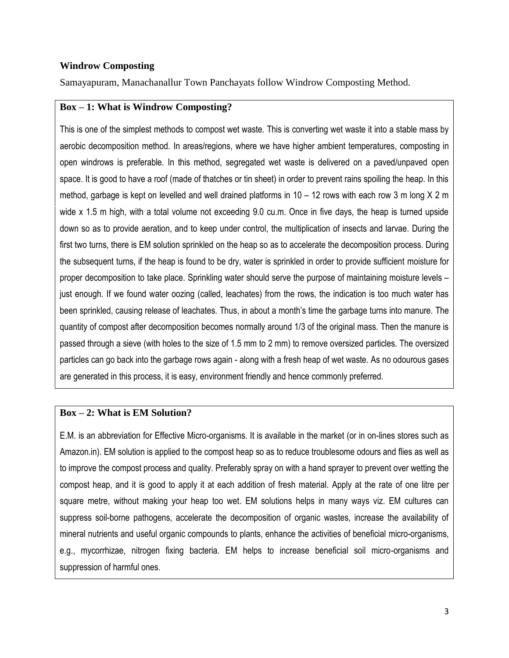### **Windrow Composting**

Samayapuram, Manachanallur Town Panchayats follow Windrow Composting Method.

### **Box – 1: What is Windrow Composting?**

This is one of the simplest methods to compost wet waste. This is converting wet waste it into a stable mass by aerobic decomposition method. In areas/regions, where we have higher ambient temperatures, composting in open windrows is preferable. In this method, segregated wet waste is delivered on a paved/unpaved open space. It is good to have a roof (made of thatches or tin sheet) in order to prevent rains spoiling the heap. In this method, garbage is kept on levelled and well drained platforms in  $10 - 12$  rows with each row 3 m long X 2 m wide x 1.5 m high, with a total volume not exceeding 9.0 cu.m. Once in five days, the heap is turned upside down so as to provide aeration, and to keep under control, the multiplication of insects and larvae. During the first two turns, there is EM solution sprinkled on the heap so as to accelerate the decomposition process. During the subsequent turns, if the heap is found to be dry, water is sprinkled in order to provide sufficient moisture for proper decomposition to take place. Sprinkling water should serve the purpose of maintaining moisture levels – just enough. If we found water oozing (called, leachates) from the rows, the indication is too much water has been sprinkled, causing release of leachates. Thus, in about a month's time the garbage turns into manure. The quantity of compost after decomposition becomes normally around 1/3 of the original mass. Then the manure is passed through a sieve (with holes to the size of 1.5 mm to 2 mm) to remove oversized particles. The oversized particles can go back into the garbage rows again - along with a fresh heap of wet waste. As no odourous gases are generated in this process, it is easy, environment friendly and hence commonly preferred.

#### **Box – 2: What is EM Solution?**

E.M. is an abbreviation for Effective Micro-organisms. It is available in the market (or in on-lines stores such as Amazon.in). EM solution is applied to the compost heap so as to reduce troublesome odours and flies as well as to improve the compost process and quality. Preferably spray on with a hand sprayer to prevent over wetting the compost heap, and it is good to apply it at each addition of fresh material. Apply at the rate of one litre per square metre, without making your heap too wet. EM solutions helps in many ways viz. EM cultures can suppress soil-borne pathogens, accelerate the decomposition of organic wastes, increase the availability of mineral nutrients and useful organic compounds to plants, enhance the activities of beneficial micro-organisms, e.g., mycorrhizae, nitrogen fixing bacteria. EM helps to increase beneficial soil micro-organisms and suppression of harmful ones.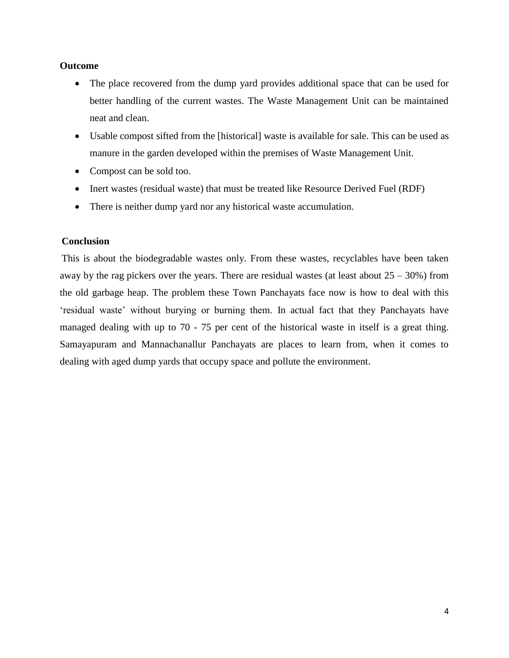#### **Outcome**

- The place recovered from the dump yard provides additional space that can be used for better handling of the current wastes. The Waste Management Unit can be maintained neat and clean.
- Usable compost sifted from the [historical] waste is available for sale. This can be used as manure in the garden developed within the premises of Waste Management Unit.
- Compost can be sold too.
- Inert wastes (residual waste) that must be treated like Resource Derived Fuel (RDF)
- There is neither dump yard nor any historical waste accumulation.

#### **Conclusion**

This is about the biodegradable wastes only. From these wastes, recyclables have been taken away by the rag pickers over the years. There are residual wastes (at least about  $25 - 30\%$ ) from the old garbage heap. The problem these Town Panchayats face now is how to deal with this 'residual waste' without burying or burning them. In actual fact that they Panchayats have managed dealing with up to 70 - 75 per cent of the historical waste in itself is a great thing. Samayapuram and Mannachanallur Panchayats are places to learn from, when it comes to dealing with aged dump yards that occupy space and pollute the environment.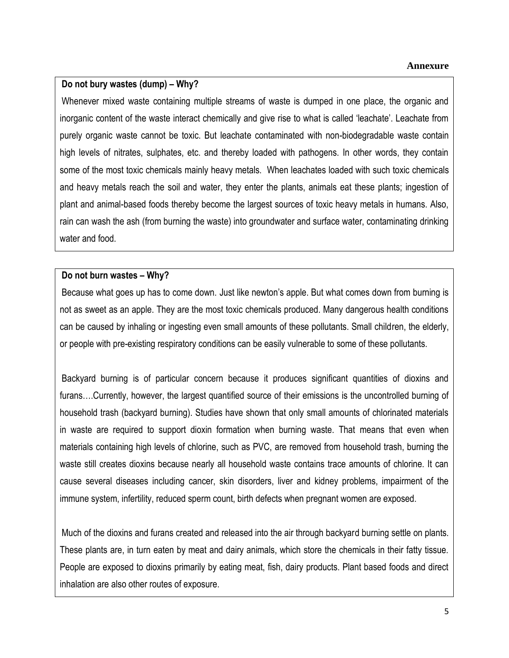# **Do not bury wastes (dump) – Why?**

Whenever mixed waste containing multiple streams of waste is dumped in one place, the organic and inorganic content of the waste interact chemically and give rise to what is called 'leachate'. Leachate from purely organic waste cannot be toxic. But leachate contaminated with non-biodegradable waste contain high levels of nitrates, sulphates, etc. and thereby loaded with pathogens. In other words, they contain some of the most toxic chemicals mainly heavy metals. When leachates loaded with such toxic chemicals and heavy metals reach the soil and water, they enter the plants, animals eat these plants; ingestion of plant and animal-based foods thereby become the largest sources of toxic heavy metals in humans. Also, rain can wash the ash (from burning the waste) into groundwater and surface water, contaminating drinking water and food.

## **Do not burn wastes – Why?**

Because what goes up has to come down. Just like newton's apple. But what comes down from burning is not as sweet as an apple. They are the most toxic chemicals produced. Many dangerous health conditions can be caused by inhaling or ingesting even small amounts of these pollutants. Small children, the elderly, or people with pre-existing respiratory conditions can be easily vulnerable to some of these pollutants.

Backyard burning is of particular concern because it produces significant quantities of dioxins and furans….Currently, however, the largest quantified source of their emissions is the uncontrolled burning of household trash (backyard burning). Studies have shown that only small amounts of chlorinated materials in waste are required to support dioxin formation when burning waste. That means that even when materials containing high levels of chlorine, such as PVC, are removed from household trash, burning the waste still creates dioxins because nearly all household waste contains trace amounts of chlorine. It can cause several diseases including cancer, skin disorders, liver and kidney problems, impairment of the immune system, infertility, reduced sperm count, birth defects when pregnant women are exposed.

Much of the dioxins and furans created and released into the air through backyard burning settle on plants. These plants are, in turn eaten by meat and dairy animals, which store the chemicals in their fatty tissue. People are exposed to dioxins primarily by eating meat, fish, dairy products. Plant based foods and direct inhalation are also other routes of exposure.